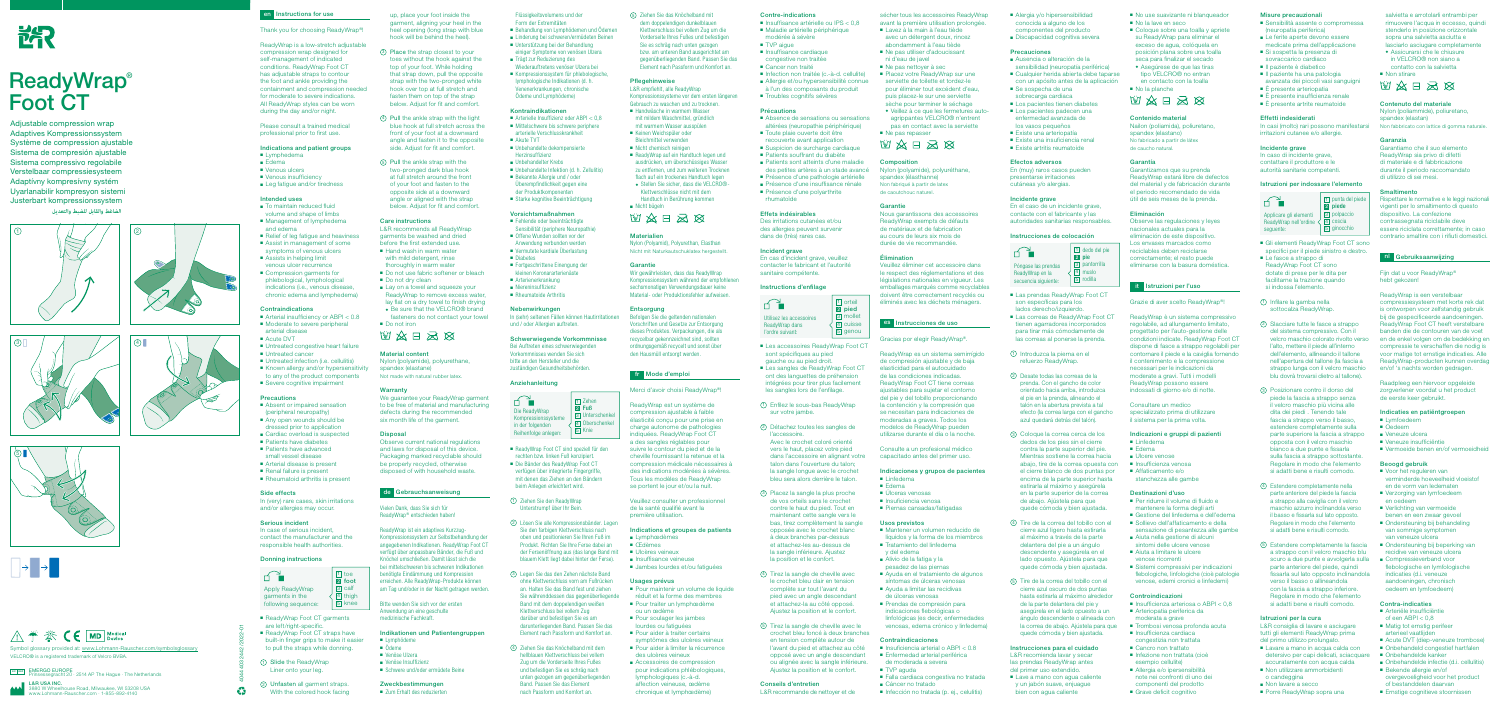Flüssigkeitsvolumens und der Form der Extremitäten

■ Behandlung von Lymphödemen und Ödemen

- Linderung bei schweren/ermüdeten Beinen ■ Unterstützung bei der Behandlung
- einiger Symptome von venösen Ulzera ■ Trägt zur Reduzierung des
- Wiederauftretens venöser Ulzera bei ■ Kompressionssystem für phlebologische, lymphologische Indikationen (d. h. Venenerkrankungen, chronische Ödeme und Lymphödeme)

- Arterielle Insuffizienz oder ABPI < 0,8 ■ Mittelschwere bis schwere periphere arterielle Verschlusskrankheit
- Akute TVT
- Unbehandelte dekompensierte Herzinsuffizienz
- Unbehandelter Krebs
- Unbehandelte Infektion (d. h. Zellulitis) ■ Bekannte Allergie und / oder Überempfindlichkeit gegen eine
- der Produktkomponenten ■ Starke kognitive Beeinträchtigung

#### Kontraindikationen

- Diabetes
- Fortgeschrittene Einengung der kleinen Koronararterienäste
- Arterienerkrankung

Schwerwiegende Vorkommnisse Bei Auftreten eines schwerwiegenden Vorkommnisses wenden Sie sich bitte an den Hersteller und die zuständigen Gesundheitsbehörden.

# Vorsichtsmaßnahmen

■ ReadyWrap Foot CT sind speziell für den rechten bzw. linken Fuß konzipiert. ■ Die Bänder des ReadyWrap Foot CT verfügen über integrierte Fingergriffe, mit denen das Ziehen an den Bändern beim Anlegen erleichtert wird. 1 Ziehen Sie den ReadyWrap Unterstrumpf über Ihr Bein.

- Fehlende oder beeinträchtigte Sensibilität (periphere Neuropathie)
- Offene Wunden sollten vor der Anwendung verbunden werden
- Vermutete kardiale Überlastung

■ Niereninsuffizienz

Nebenwirkungen

In (sehr) seltenen Fällen können Hautirritationen

und / oder Allergien auftreten.

Anziehanleitung

**Pflegehinweise** L&R empfiehlt, alle ReadyWrap

■ ReadyWrap auf ein Handtuch legen und ausdrücken, um überschüssiges Wasser zu entfernen, und zum weiteren Trocknen flach auf ein trockenes Handtuch legen ◆ Stellen Sie sicher, dass die VELCRO®- Klettverschlüsse nicht mit dem Handtuch in Berührung kommen

2 Lösen Sie alle Kompressionsbänder. Legen Sie den farbigen Klettverschluss nach oben und positionieren Sie Ihren Fuß im Produkt. Richten Sie Ihre Ferse dabei an

blauem Klett liegt dabei hinter der Ferse).

3 Legen Sie das den Zehen nächste Band ohne Klettverschluss vorn am Fußrücken an. Halten Sie das Band fest und ziehen Sie währenddessen das gegenüberliegende Band mit dem doppelendigen weißen Klettverschluss bei vollem Zug darüber und befestigen Sie es am darunterliegenden Band. Passen Sie das Element nach Passform und Komfort an.

4 Ziehen Sie das Knöchelband mit dem hellblauen Klettverschluss bei vollem Zug um die Vorderseite Ihres Fußes und befestigen Sie es schräg nach unten gezogen am gegenüberliegenden Band. Passen Sie das Element nach Passform und Komfort an.

5 Ziehen Sie das Knöchelband mit dem doppelendigen dunkelblauen Klettverschluss bei vollem Zug um die Vorderseite Ihres Fußes und befestigen Sie es schräg nach unten gezogen bzw. am unteren Band ausgerichtet am gegenüberliegenden Band. Passen Sie das Element nach Passform und Komfort an.

- Absence de sensations ou sensations altérées (neuropathie périphérique)
- Toute plaie ouverte doit être recouverte avant application
- Suspicion de surcharge cardiaque ■ Patients souffrant du diabète
- Patients sont atteints d'une maladie
- des petites artères à un stade avancé
- Présence d'une pathologie artérielle ■ Présence d'une insuffisance rénale
- Présence d'une polyarthrite
- rhumatoïde

Kompressionssysteme vor dem ersten längeren Gebrauch zu waschen und zu trocknen. ■ Handwäsche in warmem Wasser mit mildem Waschmittel, gründlich mit warmem Wasser ausspülen ■ Keinen Weichspüler oder Bleichmittel verwenden ■ Nicht chemisch reinigen

der Fersenöffnung aus (das lange Band mit ■ Ulcères veineux

- Les accessoires ReadyWrap Foot CT sont spécifiques au pied gauche ou au pied droit.
- Les sangles de ReadyWrap Foot CT ont des languettes de préhension intégrées pour tirer plus facilement les sangles lors de l'enfilage.
- 1 Enfilez le sous-bas ReadyWrap sur votre jambe.
- 2 Détachez toutes les sangles de l'accessoire. Avec le crochet coloré orienté vers le haut, placez votre pied

■ Nicht bügeln

**Materialien** 

**Garantie** 

**Entsorgung** 

Nylon (Polyamid), Polyurethan, Elasthan Nicht mit Naturkautschuklatex hergestellt.

的女日公园

Wir gewährleisten, dass das ReadyWrap Kompressionssystem während der empfohlenen sechsmonatigen Verwendungsdauer keine Material- oder Produktionsfehler aufweisen.

- avec un détergent doux, rincez abondamment à l'eau tiède ■ Ne pas utiliser d'adoucissant
- ni d'eau de javel
- Ne pas nettover à sec
- Placez votre ReadyWrap sur une serviette de toilette et tordez-le pour éliminer tout excédent d'eau, puis placez-le sur une serviette sèche pour terminer le séchage
- ◆ Veillez à ce que les fermetures autoagrippantes VELCRO® n'entrent pas en contact avec la serviette
- Ne pas repasser
- **MARK**

Befolgen Sie die geltenden nationalen Vorschriften und Gesetze zur Entsorgung dieses Produktes. Verpackungen, die als recycelbar gekennzeichnet sind, sollten ordnungsgemäß recycelt und sonst über den Hausmüll entsorgt werden.

fr Mode d'emploi

Merci d'avoir choisi ReadyWrap®! ReadyWrap est un système de compression ajustable à faible élasticité conçu pour une prise en charge autonome de pathologies ndiquées. ReadyWrap Foot CT a des sangles réglables pour suivre le contour du pied et de la cheville fournissant la retenue et la compression médicale nécessaires à des indications modérées à sévères. Tous les modèles de ReadyWrap se portent le jour et/ou la nuit. Veuillez consulter un professionnell de la santé qualifié avant la première utilisation.

Indications et groupes de patients

■ Jambes lourdes et/ou fatiguées

■ Pour maintenir un volume de liquide réduit et la forme des membres ■ Pour traiter un lymphœdème

■ Lymphœdèmes ■ Œdèmes

Usages prévus

- Mantener un volumen reducido de líquidos y la forma de los miembros ■ Tratamiento del linfedema
- y del edema
- Alivio de la fatiga y la
- pesadez de las piernas
- Ayuda en el tratamiento de algunos síntomas de úlceras venosas
- Ayuda a limitar las recidivas de úlceras venosas
- Prendas de compresión para indicaciones flebológicas o linfológicas (es decir, enfermedades venosas, edema crónico y linfedema)

ou un œdème ■ Pour soulager les jambes lourdes ou fatiguées ■ Pour aider à traiter certains symptômes des ulcères veineux ■ Pour aider à limiter la récurrence des ulcères veineux ■ Accessoires de compression pour indications phlébologiques, lymphologiques (c.-à-d. affection veineuse, œdème chronique et lymphœdème)

■ Insuffisance veineuse

- con un apósito antes de la aplicación ■ Se sospecha de una
- sobrecarga cardiaca
- Los pacientes tienen diabetes ■ Los pacientes padecen una
- enfermedad avanzada de
- los vasos pequeños
- Existe una arteriopatía
- Existe una insuficiencia renal ■ Existe artritis reumatoide

#### Contre-indications

- Insuffisance artérielle ou IPS < 0.8 ■ Maladie artérielle périphérique modérée à sévère
- TVP aigue
- Insuffisance cardiaque
- congestive non traitée
- Cancer non traité
- Infection non traitée (c.-à-d. cellulite)
- Allergie et/ou hypersensibilité connue
- à l'un des composants du produit ■ Troubles cognitifs sévères

#### Précautions

## Effets indésirables

Des irritations cutanées et/ou des allergies peuvent survenir dans de (très) rares cas.

#### Incident grave

En cas d'incident grave, veuillez contacter le fabricant et l'autorité sanitaire compétente.

- Las prendas ReadyWrap Foot CT son específicas para los lados derecho/izquierdo.
- Las correas de ReadyWrap Foot CT tienen agarradores incorporados para tirar más cómodamente de las correas al ponerse la prenda.
- 1 Introduzca la pierna en el refuerzo ReadyWrap.
- 2 Desate todas las correas de la prenda. Con el gancho de color orientado hacia arriba, introduzca el pie en la prenda, alineando el talón en la abertura prevista a tal efecto (la correa larga con el gancho azul quedará detrás del talón).
- 3 Coloque la correa cerca de los dedos de los pies sin el cierre contra la parte superior del pie. Mientras sostiene la correa hacia abajo, tire de la correa opuesta con el cierre blanco de dos puntas por encima de la parte superior hasta estirarla al máximo y asegúrela en la parte superior de la correa de abajo. Ajústela para que quede cómoda y bien ajustada.
- 4 Tire de la correa del tobillo con el cierre azul ligero hasta estirarla al máximo a través de la parte delantera del pie a un ángulo descendente y asegúrela en el lado opuesto. Ajústela para que quede cómoda y bien ajustada.
- 5 Tire de la correa del tobillo con el cierre azul oscuro de dos puntas hasta estirarla al máximo alrededor de la parte delantera del pie y asegúrela en el lado opuesto a un ángulo descendente o alineada con la correa de abajo. Ajústela para que quede cómoda y bien ajustada.

#### Instructions d'enfilage

■ Lave a mano con agua caliente y un jabón suave, enjuague bien con agua caliente

■ Coloque sobre una toalla y apriete su ReadyWrap para eliminar el exceso de agua, colóquela en posición plana sobre una toalla seca para finalizar el secado ◆ Asegúrese de que las tiras tipo VELCRO® no entran en contacto con la toalla

■ No la lave en seco

■ No la planche

dans l'accessoire en alignant votre talon dans l'ouverture du talon; la sangle longue avec le crochet bleu sera alors derrière le talon.

■ Linfedema ■ Edema ■ Ulcere venose ■ Insufficienza venosa ■ Affaticamento e/o stanchezza alle gambe

- 3 Placez la sangle la plus proche de vos orteils sans le crochet contre le haut du pied. Tout en maintenant cette sangle vers le bas, tirez complètement la sangle opposée avec le crochet blanc à deux branches par-dessus et attachez-les au-dessus de la sangle inférieure. Ajustez la position et le confort.
- 4 Tirez la sangle de cheville avec le crochet bleu clair en tension complète sur tout l'avant du pied avec un angle descendant et attachez-la au côté opposé. Ajustez la position et le confort.
- 5 Tirez la sangle de cheville avec le crochet bleu foncé à deux branches en tension complète autour de l'avant du pied et attachez au côté opposé avec un angle descendant ou alignée avec la sangle inférieure. Ajustez la position et le confort.

■ Per ridurre il volume di fluido e mantenere la forma degli arti ■ Gestione del linfedema e dell'edema ■ Sollievo dell'affaticamento e della sensazione di pesantezza alle gambe

■ Aiuta nella gestione di alcuni sintomi delle ulcere venose ■ Aiuta a limitare le ulcere venose ricorrenti

■ Sistemi compressivi per indicazioni flebologiche, linfologiche (cioè patologie venose, edemi cronici e linfedemi)

■ Insufficienza arteriosa o ABPI < 0.8 ■ Arteriopatia periferica da moderata a grave

■ Trombosi venosa profonda acuta

## Conseils d'entretien

L&R recommande de nettoyer et de

sécher tous les accessoires ReadyWrap avant la première utilisation prolongée ■ Lavez à la main à l'eau tiède

> In casi (molto) rari possono manifestars irritazioni cutanee e/o allergie.

Istruzioni per indossare l'elemento

Applicare gli elementi | 3 polpaccio ReadyWrap nell'ordine  $\langle \text{4} \rangle$  coscia

■ Gli elementi ReadyWrap Foot CT sono specifici per il piede sinistro e destro.

#### Composition

Nylon (polyamide), polyuréthane, spandex (élasthanne) Non fabriqué à partir de latex de caoutchouc naturel.

#### **Garantie**

Nous garantissons des accessoires ReadyWrap exempts de défauts de matériaux et de fabrication au cours de leurs six mois de durée de vie recommandée.

#### Élimination

Veuillez éliminer cet accessoire dans le respect des réglementations et des législations nationales en vigueur. Les emballages marqués comme recyclables doivent être correctement recyclés ou éliminés avec les déchets ménagers.

> L&R consiglia di lavare e asciugare tutti gli elementi ReadyWrap prima del primo utilizzo prolungato. ■ Lavare a mano in acqua calda con detersivo per capi delicati, sciacquare accuratamente con acqua calda ■ Non utilizzare ammorbidenti

# es Instrucciones de uso

o candeggina ■ Non lavare a secco ■ Porre ReadyWrap sopra una

#### Gracias por elegir ReadyWrap®.

ReadyWrap es un sistema semirrígido de compresión ajustable y de baja elasticidad para el autocuidado de las condiciones indicadas. ReadyWrap Foot CT tiene correas ajustables para sujetar el contorno del pie y del tobillo proporcionando la contención y la compresión que se necesitan para indicaciones de moderadas a graves. Todos los modelos de ReadyWrap pueden utilizarse durante el día o la noche.

Consulte a un profesional médico capacitado antes del primer uso.

#### Indicaciones y grupos de pacientes

- Linfedema
- Edema ■ Úlceras venosas
- Insuficiencia venosa
- Piernas cansadas/fatigadas

#### Usos previstos

#### Contraindicaciones

- Insuficiencia arterial o ABPI < 0.8
- Enfermedad arterial periférica
- de moderada a severa
- TVP aguda
- 
- Falla cardiaca congestiva no tratada ■ Cáncer no tratado
- Infección no tratada (p. ei., celulitis)
- Alergia y/o hipersensibilidad conocida a alguno de los
- componentes del producto ■ Discapacidad cognitiva severa

of bestanddelen daarvan ■ Ernstige cognitieve stoornissen



# **ReadyWrap®** Foot CT

#### Precauciones

- Ausencia o alteración de la
- sensibilidad (neuropatía periférica) ■ Cualquier herida abierta debe taparse

■ No use suavizante ni blanqueador

#### Efectos adversos

En (muy) raros casos pueden presentarse irritaciones cutáneas y/o alergias.

#### Incidente grave

En el caso de un incidente grave, contacte con el fabricante y las autoridades sanitarias responsables.

- To maintain reduced fluid volume and shape of limbs ■ Management of lymphedema
- and edema ■ Relief of leg fatigue and heaviness
- Assist in management of some
- symptoms of venous ulcers ■ Assists in helping limit
- venous ulcer recurrence ■ Compression garments for phlebological, lymphological indications (i.e., venous disease, chronic edema and lymphedema)

#### Instrucciones de colocación

■ ReadyWrap Foot CT garments are left/right-specific.

- ReadyWrap Foot CT straps have built-in finger grips to make it easier
- to pull the straps while donning.
- 1 Slide the ReadyWrap Liner onto your leg.
- 3 Place the strap closest to your toes without the hook against the top of your foot. While holding that strap down, pull the opposite strap with the two-pronged white hook over top at full stretch and fasten them on top of the strap below. Adjust for fit and comfort.
- 4 Pull the ankle strap with the light blue hook at full stretch across the front of your foot at a downward angle and fasten it to the opposite side. Adjust for fit and comfort.
- 5 Pull the ankle strap with the two-pronged dark blue hook at full stretch around the front of your foot and fasten to the opposite side at a downward angle or aligned with the strap below. Adjust for fit and comfort.

- Nylon (polyamide), polyurethane,
- spandex (elastane) Not made with natural rubber latex

ReadyWrap ist ein adaptives Kurzzug-Kompressionssystem zur Selbstbehandlung der angegebenen Indikationen. ReadvWran Foot CT verfügt über anpassbare Bänder, die Fuß und Knöchel umschließen. Damit lässt sich die bei mittelschweren bis schweren Indikationen benötigte Eindämmung und Kompression erreichen. Alle ReadyWrap-Produkte können am Tag und/oder in der Nacht getragen werden.

> Instrucciones para el cuidado L&R recomienda lavar y secar las prendas ReadyWrap antes del primer uso extendido.

#### Zweckbestimmungen ■ Zum Erhalt des reduzierten

 $\boxed{1}$  punta del pied 2 piede

**1** Zehen **2** Fuß 3 Untersch 1 Oberscher 5 Knie

Contenido material Nailon (poliamida), poliuretano,

的农口名区

spandex (elastano) No fabricado a partir de látex de caucho natural.

Garantía

Garantizamos que su prenda ReadyWrap estará libre de defectos del material y de fabricación durante el periodo recomendado de vida útil de seis meses de la prenda.

Eliminación

Observe las regulaciones y leyes nacionales actuales para la eliminación de este dispositivo. Los envases marcados como reciclables deben reciclarse correctamente; el resto puede eliminarse con la basura doméstica.

it Istruzioni per l'uso

Grazie di aver scelto ReadyWrap®! ReadyWrap è un sistema compressivo regolabile, ad allungamento limitato, progettato per l'auto-gestione delle condizioni indicate. ReadyWrap Foot CT dispone di fasce a strappo regolabili per contornare il piede e la caviglia fornendo il contenimento e la compressione necessari per le indicazioni da moderate a gravi. Tutti i modelli ReadyWrap possono essere indossati di giorno e/o di notte.

Consultare un medico specializzato prima di utilizzare il sistema per la prima volta.

Indicazioni e gruppi di pazienti

Destinazioni d'uso

Controindicazioni

■ Insufficienza cardiaca congestizia non trattata ■ Cancro non trattato ■ Infezione non trattata (cioè esempio cellulite) ■ Allergia e/o ipersensibilità note nei confronti di uno dei componenti del prodotto ■ Grave deficit cognitivo

Misure precauzionali

(neuropatia periferica) ■ Le ferite aperte devono essere medicate prima dell'applicazione ■ Si sospetta la presenza di sovraccarico cardiaco ■ Il paziente è diabetico ■ Il paziente ha una patologia avanzata dei piccoli vasi sanguigni

■ È presente arteriopatia ■ È presente insufficienza renale ■ È presente artrite reumatoide

Effetti indesiderati

Incidente grave In caso di incidente grave contattare il produttore e le autorità sanitarie competenti.

■ Sensibilità assente o compromessa

■ Le fasce a strappo di ReadyWrap Foot CT sono dotate di prese per le dita per facilitarne la trazione quando si indossa l'elemento. 1 Infilare la gamba nella sottocalza ReadyWrap.

2 Slacciare tutte le fasce a strappo del sistema compressivo. Con il velcro maschio colorato rivolto verso l'alto, mettere il piede all'interno dell'elemento, allineando il tallone nell'apertura del tallone (la fascia a strappo lunga con il velcro maschio blu dovrà trovarsi dietro al tallone).

3 Posizionare contro il dorso del piede la fascia a strappo senza il velcro maschio più vicina alle dita dei piedi . Tenendo tale fascia a strappo verso il basso, estendere completamente sulla parte superiore la fascia a strappo opposta con il velcro maschio bianco a due punte e fissarla sulla fascia a strappo sottostante Regolare in modo che l'elemento si adatti bene e risulti comodo. 4 Estendere completamente nella parte anteriore del piede la fascia a strappo alla caviglia con il velcro maschio azzurro inclinandola verso il basso e fissarla sul lato opposto. Regolare in modo che l'elemento si adatti bene e risulti comodo. 5 Estendere completamente la fascia a strappo con il velcro maschio blu scuro a due punte e avvolgerla sulla parte anteriore del piede, quindi fissarla sul lato opposto inclinandola verso il basso o allineandola con la fascia a strappo inferiore. Regolare in modo che l'elemento si adatti bene e risulti comodo.

Istruzioni per la cura

■ Acute DVT (diep-veneuze trombose) ■ Onbehandeld congestief hartfalen

■ Onbehandelde infectie (d.i. cellulitis)

| salvietta e arrotolarli entrambi per                                                                                                                                                                                                                                                                                                                                                                                                         |
|----------------------------------------------------------------------------------------------------------------------------------------------------------------------------------------------------------------------------------------------------------------------------------------------------------------------------------------------------------------------------------------------------------------------------------------------|
| rimuovere l'acqua in eccesso, quindi<br>stenderlo in posizione orizzontale<br>sopra una salvietta asciutta e<br>lasciarlo asciugare completamente<br><b>*</b> Assicurarsi che le chiusure<br>in VELCRO® non siano a                                                                                                                                                                                                                          |
| contatto con la salvietta<br>Non stirare                                                                                                                                                                                                                                                                                                                                                                                                     |
| 网络日运区                                                                                                                                                                                                                                                                                                                                                                                                                                        |
| Contenuto del materiale<br>Nylon (poliammide), poliuretano,<br>spandex (elastan)<br>Non fabbricato con lattice di gomma naturale.                                                                                                                                                                                                                                                                                                            |
| Garanzia<br>Garantiamo che il suo elemento<br>ReadyWrap sia privo di difetti<br>di materiale e di fabbricazione<br>durante il periodo raccomandato<br>di utilizzo di sei mesi.                                                                                                                                                                                                                                                               |
| <b>Smaltimento</b><br>Rispettare le normative e le leggi nazionali<br>vigenti per lo smaltimento di questo<br>dispositivo. La confezione<br>contrassegnata riciclabile deve<br>essere riciclata correttamente; in caso<br>contrario smaltire con i rifiuti domestici.                                                                                                                                                                        |
| Gebruiksaanwijzing<br>nl -                                                                                                                                                                                                                                                                                                                                                                                                                   |
| Fijn dat u voor ReadyWrap®<br>hebt gekozen!                                                                                                                                                                                                                                                                                                                                                                                                  |
| ReadyWrap is een verstelbaar<br>compressiesysteem met korte rek dat<br>is ontworpen voor zelfstandig gebruik<br>bij de gespecificeerde aandoeningen.<br>ReadyWrap Foot CT heeft verstelbare<br>banden die de contouren van de voet<br>en de enkel volgen om de bedekking en<br>compressie te verschaffen die nodig is<br>voor matige tot ernstige indicaties. Alle<br>ReadyWrap-producten kunnen overdag<br>en/of 's nachts worden gedragen. |
| Raadpleeg een hiervoor opgeleide<br>zorgverlener voordat u het product<br>de eerste keer gebruikt.                                                                                                                                                                                                                                                                                                                                           |
| Indicaties en patiëntgroepen<br>Lymfoedeem<br>■ Oedeem<br>Veneuze ulcera<br>■ Veneuze insufficiëntie<br>■ Vermoeide benen en/of vermoeidheid                                                                                                                                                                                                                                                                                                 |
| Beoogd gebruik<br>Voor het reguleren van<br>verminderde hoeveelheid vloeistof<br>en de vorm van ledematen<br>■ Verzorging van lymfoedeem<br>en oedeem<br>Verlichting van vermoeide<br>benen en een zwaar gevoel<br>Ondersteuning bij behandeling<br>van sommige symptomen<br>van veneuze ulcera<br>Ondersteuning bij beperking van<br>recidive van veneuze ulcera                                                                            |

■ Verlichting van vermoeide benen en een zwaar gevoel ■ Ondersteuning bij behandeling van sommige symptomen van veneuze ulcera ■ Ondersteuning bij beperking van recidive van veneuze ulcera ■ Compressieverband voor flebologische en lymfologische indicaties (d.i. veneuze aandoeningen, chronisch oedeem en lymfoedeem)

Contra-indicaties ■ Arteriële insufficiëntie of een  $ABPI < 0.8$ ■ Matig tot ernstig perifeer arterieel vaatlijden

■ Onbehandelde kanker

■ Bekende allergie en/of

overgevoeligheid voor het product

Adjustable compression wrap Adaptives Kompressionssystem Système de compression ajustable Sistema de compresión ajustable Sistema compressivo regolabile Verstelbaar compressiesysteem Adaptívny kompresívny systém Uyarlanabilir kompresyon sistemi Justerbart kompressionssystem **الضاغط والقابل للضبط والتعديل**









4







# △ <del>◆</del> 茶 C E MD Medical

4044403 2442/2022-01

-23

# en Instructions for use

Thank you for choosing ReadyWrap®!

ReadyWrap is a low-stretch adjustable compression wrap designed for self-management of indicated conditions. ReadyWrap Foot CT has adjustable straps to contour the foot and ankle providing the containment and compression needed for moderate to severe indications. All ReadyWrap styles can be worn during the day and/or night.

Please consult a trained medical professional prior to first use.

# Indications and patient groups

- Lymphedema ■ Edema
- Venous ulcers
- Venous insufficiency
- Leg fatigue and/or tiredness

#### Intended uses

#### Contraindications

- Arterial insufficiency or ABPI < 0.8 ■ Moderate to severe peripheral
- arterial disease
- Acute DVT ■ Untreated congestive heart failure
- Untreated cancer
- Untreated infection (*i.e.* cellulitis) ■ Known allergy and/or hypersensitivity
- to any of the product components ■ Severe cognitive impairment

#### Precautions

- Absent or impaired sensation (peripheral neuropathy)
- Any open wounds should be dressed prior to application
- Cardiac overload is suspected ■ Patients have diabetes
- Patients have advanced
- small vessel disease
- Arterial disease is present
- Renal failure is present ■ Rheumatoid arthritis is present

## Side effects

In (very) rare cases, skin irritations and/or allergies may occur.

#### Serious incident

In case of serious incident, contact the manufacturer and the responsible health authorities.

#### Donning instructions

2 Unfasten all garment straps. With the colored hook facing up, place your foot inside the garment, aligning your heel in the heel opening (long strap with blue hook will be behind the heel).

#### Care instructions

- L&R recommends all ReadyWrap garments be washed and dried before the first extended use. ■ Hand wash in warm water
- with mild detergent, rinse thoroughly in warm water ■ Do not use fabric softener or bleach
- Do not dry clean
- Lay on a towel and squeeze your ReadyWrap to remove excess water lay flat on a dry towel to finish drying ◆ Be sure that the VELCRO® brand fasteners do not contact your towel



# Material content

#### Warranty

We guarantee your ReadyWrap garment

# to be free of material and manufacturing defects during the recommended six month life of the garment.

Disposal Observe current national regulations and laws for disposal of this device. Packaging marked recyclable should be properly recycled, otherwise disposed of with household waste.

#### de Gebrauchsanweisung

Vielen Dank, dass Sie sich für ReadyWrap® entschieden haben!

Bitte wenden Sie sich vor der ersten Anwendung an eine geschulte medizinische Fachkraft.

#### Indikationen und Patientengruppen ■ Lymphödeme

- Ödeme ■ Venöse Ulzera
- Venöse Insuffizienz
- Schwere und/oder ermüdete Beine



seguente:

6 ∎

5 ginocchio

Die ReadyWrap Kompressionssysteme in der folgenden Reihenfolge anlegen:

6 ∎

■ Rheumatoide Arthritis

L&R USA INC. 3880 W Wheelhouse Road, Milwaukee, WI 53208 USA www.Lohmann-Rauscher.com · 1-855-892-4140

Symbol glossary provided at: www.Lohmann-Rauscher.com/symbolsglossary VELCRO® is a registered trademark of Velcro BVBA.

EC REP EMERGO EUROPE Princes Let the Hague · The Netherlands